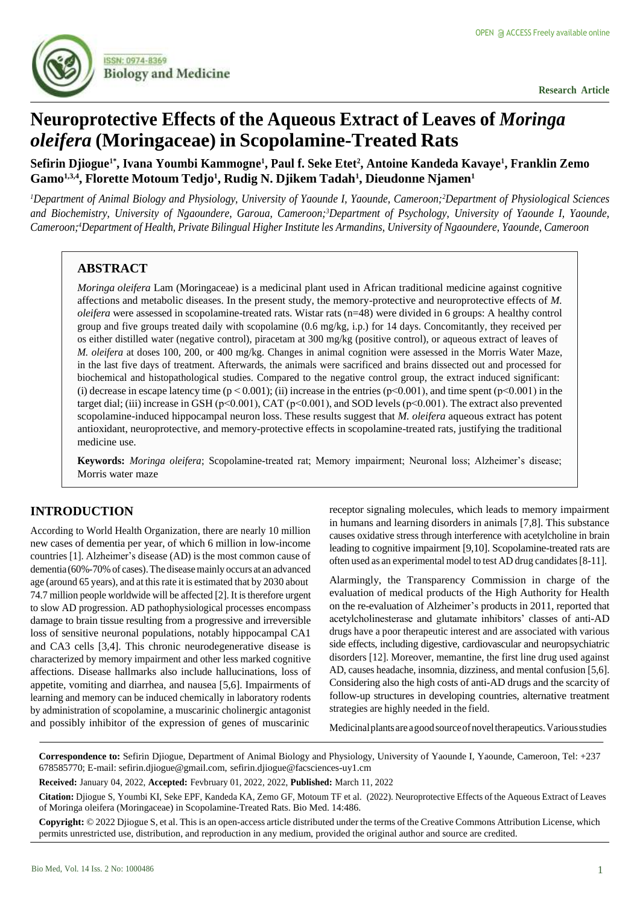

# **Neuroprotective Effects of the Aqueous Extract of Leaves of** *Moringa oleifera* **(Moringaceae) in Scopolamine-Treated Rats**

# Sefirin Djiogue<sup>1</sup>\*, Ivana Youmbi Kammogne<sup>1</sup>, Paul f. Seke Etet<sup>2</sup>, Antoine Kandeda Kavaye<sup>1</sup>, Franklin Zemo **Gamo1,3,4 , Florette Motoum Tedjo<sup>1</sup> , Rudig N. Djikem Tadah<sup>1</sup> , Dieudonne Njamen<sup>1</sup>**

*<sup>1</sup>Department of Animal Biology and Physiology, University of Yaounde I, Yaounde, Cameroon;<sup>2</sup>Department of Physiological Sciences and Biochemistry, University of Ngaoundere, Garoua, Cameroon;<sup>3</sup>Department of Psychology, University of Yaounde I, Yaounde,* Cameroon;<sup>4</sup>Department of Health, Private Bilingual Higher Institute les Armandins, University of Ngaoundere, Yaounde, Cameroon

# **ABSTRACT**

*Moringa oleifera* Lam (Moringaceae) is a medicinal plant used in African traditional medicine against cognitive affections and metabolic diseases. In the present study, the memory-protective and neuroprotective effects of *M. oleifera* were assessed in scopolamine-treated rats. Wistar rats (n=48) were divided in 6 groups: A healthy control group and five groups treated daily with scopolamine (0.6 mg/kg, i.p.) for 14 days. Concomitantly, they received per os either distilled water (negative control), piracetam at 300 mg/kg (positive control), or aqueous extract of leaves of *M. oleifera* at doses 100, 200, or 400 mg/kg. Changes in animal cognition were assessed in the Morris Water Maze, in the last five days of treatment. Afterwards, the animals were sacrificed and brains dissected out and processed for biochemical and histopathological studies. Compared to the negative control group, the extract induced significant: (i) decrease in escape latency time ( $p < 0.001$ ); (ii) increase in the entries ( $p < 0.001$ ), and time spent ( $p < 0.001$ ) in the target dial; (iii) increase in GSH (p˂0.001), CAT (p˂0.001), and SOD levels (p˂0.001). The extract also prevented scopolamine-induced hippocampal neuron loss. These results suggest that *M. oleifera* aqueous extract has potent antioxidant, neuroprotective, and memory-protective effects in scopolamine-treated rats, justifying the traditional medicine use.

**Keywords:** *Moringa oleifera*; Scopolamine-treated rat; Memory impairment; Neuronal loss; Alzheimer's disease; Morris water maze

# **INTRODUCTION**

According to World Health Organization, there are nearly 10 million new cases of dementia per year, of which 6 million in low-income countries [1]. Alzheimer's disease (AD) is the most common cause of dementia (60%-70%of cases).The diseasemainly occurs at an advanced age (around 65 years), and at thisrate it is estimated that by 2030 about 74.7 million people worldwide will be affected [2]. It is therefore urgent to slow AD progression. AD pathophysiological processes encompass damage to brain tissue resulting from a progressive and irreversible loss of sensitive neuronal populations, notably hippocampal CA1 and CA3 cells [3,4]. This chronic neurodegenerative disease is characterized by memory impairment and other less marked cognitive affections. Disease hallmarks also include hallucinations, loss of appetite, vomiting and diarrhea, and nausea [5,6]. Impairments of learning and memory can be induced chemically in laboratory rodents by administration of scopolamine, a muscarinic cholinergic antagonist and possibly inhibitor of the expression of genes of muscarinic

receptor signaling molecules, which leads to memory impairment in humans and learning disorders in animals [7,8]. This substance causes oxidative stress through interference with acetylcholine in brain leading to cognitive impairment [9,10]. Scopolamine-treated rats are often used as an experimental model to test AD drug candidates[8-11].

Alarmingly, the Transparency Commission in charge of the evaluation of medical products of the High Authority for Health on the re-evaluation of Alzheimer's products in 2011, reported that acetylcholinesterase and glutamate inhibitors' classes of anti-AD drugs have a poor therapeutic interest and are associated with various side effects, including digestive, cardiovascular and neuropsychiatric disorders [12]. Moreover, memantine, the first line drug used against AD, causes headache, insomnia, dizziness, and mental confusion [5,6]. Considering also the high costs of anti-AD drugs and the scarcity of follow-up structures in developing countries, alternative treatment strategies are highly needed in the field.

Medicinalplantsareagoodsourceofnoveltherapeutics.Variousstudies

**Correspondence to:** Sefirin Djiogue, Department of Animal Biology and Physiology, University of Yaounde I, Yaounde, Cameroon, Tel: +237 678585770; E-mail: [sefirin.djiogue@gmail.com,](mailto:sefirin.djiogue@gmail.com) sefirin.djiogue@facsciences-uy1.cm

**Received:** January 04, 2022, **Accepted:** Fevbruary 01, 2022, 2022, **Published:** March 11, 2022

**Citation:** Djiogue S, Youmbi KI, Seke EPF, Kandeda KA, Zemo GF, Motoum TF et al. (2022). Neuroprotective Effects of the Aqueous Extract of Leaves of Moringa oleifera (Moringaceae) in Scopolamine-Treated Rats. Bio Med. 14:486.

**Copyright:** © 2022 Djiogue S, et al. This is an open-access article distributed under the terms of the Creative Commons Attribution License, which permits unrestricted use, distribution, and reproduction in any medium, provided the original author and source are credited.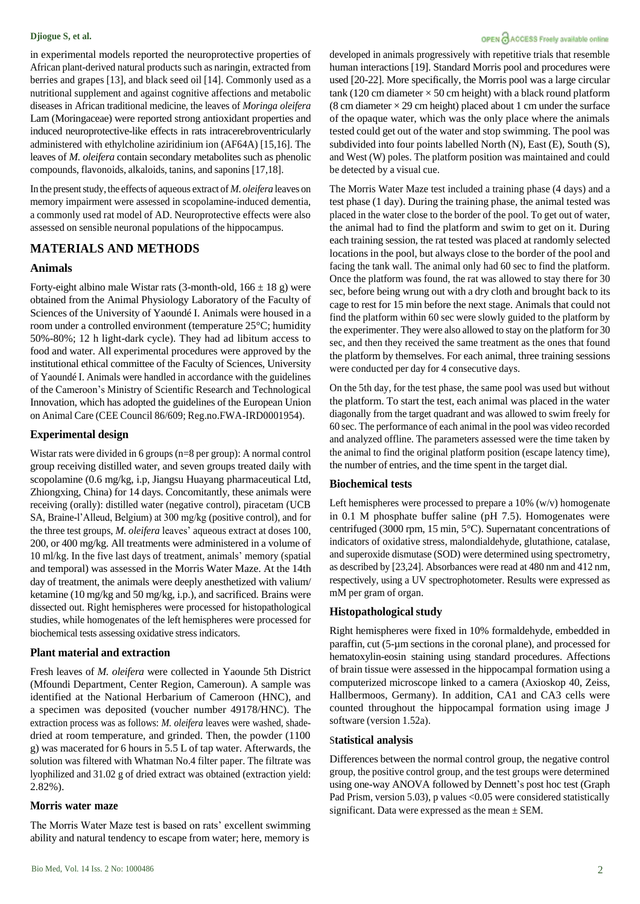in experimental models reported the neuroprotective properties of African plant-derived natural products such as naringin, extracted from berries and grapes [13], and black seed oil [14]. Commonly used as a nutritional supplement and against cognitive affections and metabolic diseases in African traditional medicine, the leaves of *Moringa oleifera* Lam (Moringaceae) were reported strong antioxidant properties and induced neuroprotective-like effects in rats intracerebroventricularly administered with ethylcholine aziridinium ion (AF64A) [15,16]. The leaves of *M. oleifera* contain secondary metabolites such as phenolic compounds, flavonoids, alkaloids, tanins, and saponins [17,18].

In the present study, the effects of aqueous extract of *M. oleifera* leaves on memory impairment were assessed in scopolamine-induced dementia, a commonly used rat model of AD. Neuroprotective effects were also assessed on sensible neuronal populations of the hippocampus.

## **MATERIALS AND METHODS**

#### **Animals**

Forty-eight albino male Wistar rats (3-month-old,  $166 \pm 18$  g) were obtained from the Animal Physiology Laboratory of the Faculty of Sciences of the University of Yaoundé I. Animals were housed in a room under a controlled environment (temperature 25°C; humidity 50%-80%; 12 h light-dark cycle). They had ad libitum access to food and water. All experimental procedures were approved by the institutional ethical committee of the Faculty of Sciences, University of Yaoundé I. Animals were handled in accordance with the guidelines of the Cameroon's Ministry of Scientific Research and Technological Innovation, which has adopted the guidelines of the European Union on Animal Care (CEE Council 86/609; Reg.no.FWA-IRD0001954).

#### **Experimental design**

Wistar rats were divided in 6 groups (n=8 per group): A normal control group receiving distilled water, and seven groups treated daily with scopolamine (0.6 mg/kg, i.p, Jiangsu Huayang pharmaceutical Ltd, Zhiongxing, China) for 14 days. Concomitantly, these animals were receiving (orally): distilled water (negative control), piracetam (UCB SA, Braine-l'Alleud, Belgium) at 300 mg/kg (positive control), and for the three test groups, *M. oleifera* leaves' aqueous extract at doses 100, 200, or 400 mg/kg. All treatments were administered in a volume of 10 ml/kg. In the five last days of treatment, animals' memory (spatial and temporal) was assessed in the Morris Water Maze. At the 14th day of treatment, the animals were deeply anesthetized with valium/ ketamine (10 mg/kg and 50 mg/kg, i.p.), and sacrificed. Brains were dissected out. Right hemispheres were processed for histopathological studies, while homogenates of the left hemispheres were processed for biochemical tests assessing oxidative stress indicators.

#### **Plant material and extraction**

Fresh leaves of *M. oleifera* were collected in Yaounde 5th District (Mfoundi Department, Center Region, Cameroun). A sample was identified at the National Herbarium of Cameroon (HNC), and a specimen was deposited (voucher number 49178/HNC). The extraction process was as follows: *M. oleifera* leaves were washed, shadedried at room temperature, and grinded. Then, the powder (1100 g) was macerated for 6 hours in 5.5 L of tap water. Afterwards, the solution was filtered with Whatman No.4 filter paper. The filtrate was lyophilized and 31.02 g of dried extract was obtained (extraction yield: 2.82%).

#### **Morris water maze**

The Morris Water Maze test is based on rats' excellent swimming ability and natural tendency to escape from water; here, memory is

#### OPEN CACCESS Freely available online

developed in animals progressively with repetitive trials that resemble human interactions [19]. Standard Morris pool and procedures were used [20-22]. More specifically, the Morris pool was a large circular tank (120 cm diameter  $\times$  50 cm height) with a black round platform (8 cm diameter  $\times$  29 cm height) placed about 1 cm under the surface of the opaque water, which was the only place where the animals tested could get out of the water and stop swimming. The pool was subdivided into four points labelled North (N), East (E), South (S), and West (W) poles. The platform position was maintained and could be detected by a visual cue.

The Morris Water Maze test included a training phase (4 days) and a test phase (1 day). During the training phase, the animal tested was placed in the water close to the border of the pool. To get out of water, the animal had to find the platform and swim to get on it. During each training session, the rat tested was placed at randomly selected locations in the pool, but always close to the border of the pool and facing the tank wall. The animal only had 60 sec to find the platform. Once the platform was found, the rat was allowed to stay there for 30 sec, before being wrung out with a dry cloth and brought back to its cage to rest for 15 min before the next stage. Animals that could not find the platform within 60 sec were slowly guided to the platform by the experimenter. They were also allowed to stay on the platform for 30 sec, and then they received the same treatment as the ones that found the platform by themselves. For each animal, three training sessions were conducted per day for 4 consecutive days.

On the 5th day, for the test phase, the same pool was used but without the platform. To start the test, each animal was placed in the water diagonally from the target quadrant and was allowed to swim freely for 60 sec. The performance of each animal in the pool was video recorded and analyzed offline. The parameters assessed were the time taken by the animal to find the original platform position (escape latency time), the number of entries, and the time spent in the target dial.

#### **Biochemical tests**

Left hemispheres were processed to prepare a 10% (w/v) homogenate in 0.1 M phosphate buffer saline (pH 7.5). Homogenates were centrifuged (3000 rpm, 15 min, 5°C). Supernatant concentrations of indicators of oxidative stress, malondialdehyde, glutathione, catalase, and superoxide dismutase (SOD) were determined using spectrometry, as described by [23,24]. Absorbances were read at 480 nm and 412 nm, respectively, using a UV spectrophotometer. Results were expressed as mM per gram of organ.

#### **Histopathological study**

Right hemispheres were fixed in 10% formaldehyde, embedded in paraffin, cut (5-µm sections in the coronal plane), and processed for hematoxylin-eosin staining using standard procedures. Affections of brain tissue were assessed in the hippocampal formation using a computerized microscope linked to a camera (Axioskop 40, Zeiss, Hallbermoos, Germany). In addition, CA1 and CA3 cells were counted throughout the hippocampal formation using image J software (version 1.52a).

#### S**tatistical analysis**

Differences between the normal control group, the negative control group, the positive control group, and the test groups were determined using one-way ANOVA followed by Dennett's post hoc test (Graph Pad Prism, version 5.03), p values <0.05 were considered statistically significant. Data were expressed as the mean  $\pm$  SEM.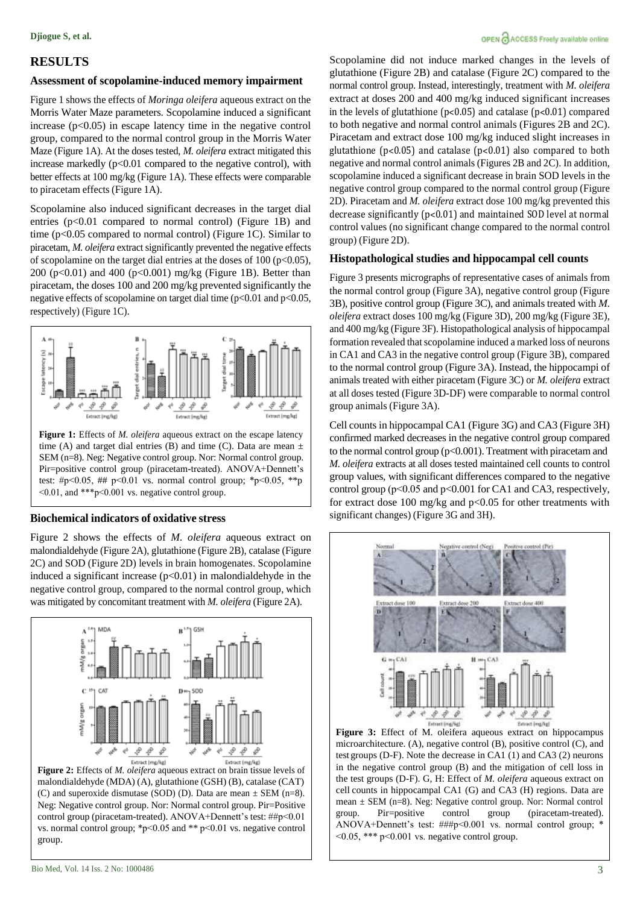# **RESULTS**

# **Assessment of scopolamine-induced memory impairment**

Figure 1 shows the effects of *Moringa oleifera* aqueous extract on the Morris Water Maze parameters. Scopolamine induced a significant increase  $(p<0.05)$  in escape latency time in the negative control group, compared to the normal control group in the Morris Water Maze (Figure 1A). At the doses tested, *M. oleifera* extract mitigated this increase markedly (p<0.01 compared to the negative control), with better effects at 100 mg/kg (Figure 1A). These effects were comparable to piracetam effects (Figure 1A).

Scopolamine also induced significant decreases in the target dial entries  $(p<0.01$  compared to normal control) (Figure 1B) and time (p<0.05 compared to normal control) (Figure 1C). Similar to piracetam, *M. oleifera* extract significantly prevented the negative effects of scopolamine on the target dial entries at the doses of  $100$  (p<0.05), 200 (p<0.01) and 400 (p<0.001) mg/kg (Figure 1B). Better than piracetam, the doses 100 and 200 mg/kg prevented significantly the negative effects of scopolamine on target dial time  $(p<0.01$  and  $p<0.05$ , respectively) (Figure 1C).



time (A) and target dial entries (B) and time (C). Data are mean  $\pm$ SEM (n=8). Neg: Negative control group. Nor: Normal control group. Pir=positive control group (piracetam-treated). ANOVA+Dennett's test: #p<0.05, ## p<0.01 vs. normal control group; \*p<0.05, \*\*p ˂0.01, and \*\*\*p˂0.001 vs. negative control group.

# **Biochemical indicators of oxidative stress**

Figure 2 shows the effects of *M. oleifera* aqueous extract on malondialdehyde (Figure 2A), glutathione (Figure 2B), catalase (Figure 2C) and SOD (Figure 2D) levels in brain homogenates. Scopolamine induced a significant increase  $(p<0.01)$  in malondialdehyde in the negative control group, compared to the normal control group, which was mitigated by concomitant treatment with *M. oleifera* (Figure 2A).



malondialdehyde (MDA) (A), glutathione (GSH) (B), catalase (CAT) (C) and superoxide dismutase (SOD) (D). Data are mean  $\pm$  SEM (n=8). Neg: Negative control group. Nor: Normal control group. Pir=Positive control group (piracetam-treated). ANOVA+Dennett's test: ##p˂0.01 vs. normal control group; \*p˂0.05 and \*\* p˂0.01 vs. negative control group.

Scopolamine did not induce marked changes in the levels of glutathione (Figure 2B) and catalase (Figure 2C) compared to the normal control group. Instead, interestingly, treatment with *M. oleifera* extract at doses 200 and 400 mg/kg induced significant increases in the levels of glutathione (p˂0.05) and catalase (p˂0.01) compared to both negative and normal control animals (Figures 2B and 2C). Piracetam and extract dose 100 mg/kg induced slight increases in glutathione ( $p<0.05$ ) and catalase ( $p<0.01$ ) also compared to both negative and normal control animals (Figures 2B and 2C). In addition, scopolamine induced a significant decrease in brain SOD levels in the negative control group compared to the normal control group (Figure 2D). Piracetam and *M. oleifera* extract dose 100 mg/kg prevented this decrease significantly (p˂0.01) and maintained SOD level at normal control values (no significant change compared to the normal control group) (Figure 2D).

## **Histopathological studies and hippocampal cell counts**

Figure 3 presents micrographs of representative cases of animals from the normal control group (Figure 3A), negative control group (Figure 3B), positive control group (Figure 3C), and animals treated with *M. oleifera* extract doses 100 mg/kg (Figure 3D), 200 mg/kg (Figure 3E), and 400 mg/kg (Figure 3F). Histopathological analysis of hippocampal formation revealed that scopolamine induced a marked loss of neurons in CA1 and CA3 in the negative control group (Figure 3B), compared to the normal control group (Figure 3A). Instead, the hippocampi of animals treated with either piracetam (Figure 3C) or *M. oleifera* extract at all doses tested (Figure 3D-DF) were comparable to normal control group animals (Figure 3A).

Cell counts in hippocampal CA1 (Figure 3G) and CA3 (Figure 3H) confirmed marked decreases in the negative control group compared to the normal control group (p<0.001). Treatment with piracetam and *M. oleifera* extracts at all doses tested maintained cell counts to control group values, with significant differences compared to the negative control group (p˂0.05 and p<0.001 for CA1 and CA3, respectively, for extract dose 100 mg/kg and p<0.05 for other treatments with significant changes) (Figure 3G and 3H).



**Figure 3:** Effect of M. oleifera aqueous extract on hippocampus microarchitecture. (A), negative control (B), positive control (C), and test groups (D-F). Note the decrease in CA1 (1) and CA3 (2) neurons in the negative control group (B) and the mitigation of cell loss in the test groups (D-F). G, H: Effect of *M. oleifera* aqueous extract on cell counts in hippocampal CA1 (G) and CA3 (H) regions. Data are mean ± SEM (n=8). Neg: Negative control group. Nor: Normal control group. Pir=positive control group (piracetam-treated). ANOVA+Dennett's test: ###p˂0.001 vs. normal control group; \*  $<$ 0.05, \*\*\* p $<$ 0.001 vs. negative control group.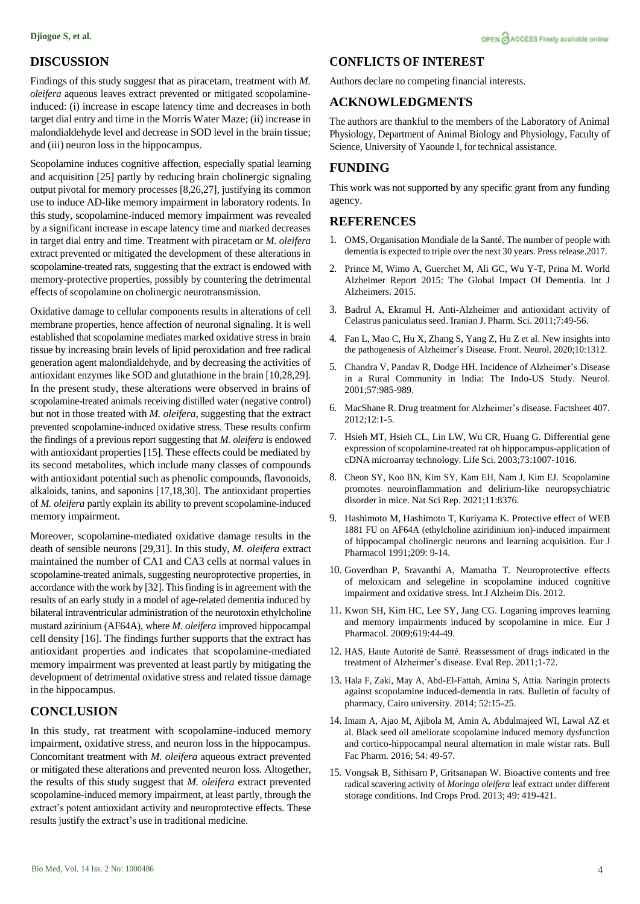# **DISCUSSION**

Findings of this study suggest that as piracetam, treatment with *M. oleifera* aqueous leaves extract prevented or mitigated scopolamineinduced: (i) increase in escape latency time and decreases in both target dial entry and time in the Morris Water Maze; (ii) increase in malondialdehyde level and decrease in SOD level in the brain tissue; and (iii) neuron loss in the hippocampus.

Scopolamine induces cognitive affection, especially spatial learning and acquisition [25] partly by reducing brain cholinergic signaling output pivotal for memory processes [8,26,27], justifying its common use to induce AD-like memory impairment in laboratory rodents. In this study, scopolamine-induced memory impairment was revealed by a significant increase in escape latency time and marked decreases in target dial entry and time. Treatment with piracetam or *M. oleifera* extract prevented or mitigated the development of these alterations in scopolamine-treated rats, suggesting that the extract is endowed with memory-protective properties, possibly by countering the detrimental effects of scopolamine on cholinergic neurotransmission.

Oxidative damage to cellular components results in alterations of cell membrane properties, hence affection of neuronal signaling. It is well established that scopolamine mediates marked oxidative stress in brain tissue by increasing brain levels of lipid peroxidation and free radical generation agent malondialdehyde, and by decreasing the activities of antioxidant enzymes like SOD and glutathione in the brain [10,28,29]. In the present study, these alterations were observed in brains of scopolamine-treated animals receiving distilled water (negative control) but not in those treated with *M. oleifera*, suggesting that the extract prevented scopolamine-induced oxidative stress. These results confirm the findings of a previous report suggesting that *M. oleifera* is endowed with antioxidant properties [15]. These effects could be mediated by its second metabolites, which include many classes of compounds with antioxidant potential such as phenolic compounds, flavonoids, alkaloids, tanins, and saponins [17,18,30]. The antioxidant properties of *M. oleifera* partly explain its ability to prevent scopolamine-induced memory impairment.

Moreover, scopolamine-mediated oxidative damage results in the death of sensible neurons [29,31]. In this study, *M. oleifera* extract maintained the number of CA1 and CA3 cells at normal values in scopolamine-treated animals, suggesting neuroprotective properties, in accordance with the work by [32]. This finding is in agreement with the results of an early study in a model of age-related dementia induced by bilateral intraventricular administration of the neurotoxin ethylcholine mustard azirinium (AF64A), where *M. oleifera* improved hippocampal cell density [16]. The findings further supports that the extract has antioxidant properties and indicates that scopolamine-mediated memory impairment was prevented at least partly by mitigating the development of detrimental oxidative stress and related tissue damage in the hippocampus.

### **CONCLUSION**

In this study, rat treatment with scopolamine-induced memory impairment, oxidative stress, and neuron loss in the hippocampus. Concomitant treatment with *M. oleifera* aqueous extract prevented or mitigated these alterations and prevented neuron loss. Altogether, the results of this study suggest that *M. oleifera* extract prevented scopolamine-induced memory impairment, at least partly, through the extract's potent antioxidant activity and neuroprotective effects. These results justify the extract's use in traditional medicine.

## **CONFLICTS OF INTEREST**

Authors declare no competing financial interests.

# **ACKNOWLEDGMENTS**

The authors are thankful to the members of the Laboratory of Animal Physiology, Department of Animal Biology and Physiology, Faculty of Science, University of Yaounde I, for technical assistance.

## **FUNDING**

This work was not supported by any specific grant from any funding agency.

### **REFERENCES**

- 1. OMS, Organisation Mondiale de la Santé. The [number](https://www.who.int/news/item/07-12-2017-dementia-number-of-people-affected-to-triple-in-next-30-years#%3A~%3Atext%3DAs%20the%20global%20population%20ages%2Cto%20152%20million%20by%202050) of people with [dementia](https://www.who.int/news/item/07-12-2017-dementia-number-of-people-affected-to-triple-in-next-30-years#%3A~%3Atext%3DAs%20the%20global%20population%20ages%2Cto%20152%20million%20by%202050) is expected to triple over the next 30 years. Press release.2017.
- 2. Prince M, Wimo A, Guerchet M, Ali GC, Wu Y-T, Prina M[. World](https://kclpure.kcl.ac.uk/portal/en/publications/world-alzheimer-report-2015--the-global-impact-of-dementia(ae525fda-1938-4892-8daa-a2222a672254).html) [Alzheimer Report 2015: The Global Impact Of Dementia.](https://kclpure.kcl.ac.uk/portal/en/publications/world-alzheimer-report-2015--the-global-impact-of-dementia(ae525fda-1938-4892-8daa-a2222a672254).html) Int J Alzheimers. 2015.
- 3. Badrul A, Ekramul H. [Anti-Alzheimer and antioxidant activity of](https://www.sid.ir/en/Journal/ViewPaper.aspx?ID=229292) Celastrus [paniculatus](https://www.sid.ir/en/Journal/ViewPaper.aspx?ID=229292) seed. Iranian J. Pharm. Sci. 2011;7:49-56.
- 4. Fan L, Mao C, Hu X, Zhang S, Yang Z, Hu Z et al. New [insights](https://www.frontiersin.org/articles/10.3389/fneur.2019.01312/full) into the [pathogenesis](https://www.frontiersin.org/articles/10.3389/fneur.2019.01312/full) of Alzheimer's Disease. Front. Neurol. 2020;10:1312.
- 5. Chandra V, Pandav R, Dodge HH. Incidence of [Alzheimer's](https://n.neurology.org/content/57/6/985.short) Disease in a Rural [Community](https://n.neurology.org/content/57/6/985.short) in India: The Indo-US Study. Neurol. 2001;57:985-989.
- 6. MacShane R. Drug treatment for Alzheimer's disease. Factsheet 407. 2012;12:1-5.
- 7. Hsieh MT, Hsieh CL, Lin LW, Wu CR, Huang G. [Differential gene](https://www.sciencedirect.com/science/article/abs/pii/S0024320503003722) expression of scopolamine-treated rat oh [hippocampus-application](https://www.sciencedirect.com/science/article/abs/pii/S0024320503003722) of cDNA microarray [technology.](https://www.sciencedirect.com/science/article/abs/pii/S0024320503003722) Life Sci. 2003;73:1007-1016.
- 8. Cheon SY, Koo BN, Kim SY, Kam EH, Nam J, Kim EJ. [Scopolamine](https://www.nature.com/articles/s41598-021-87790-y) promotes [neuroinflammation](https://www.nature.com/articles/s41598-021-87790-y) and delirium-like neuropsychiatric [disorder](https://www.nature.com/articles/s41598-021-87790-y) in mice. Nat Sci Rep. 2021;11:8376.
- 9. Hashimoto M, Hashimoto T, Kuriyama K. [Protective effect of WEB](https://www.sciencedirect.com/science/article/abs/pii/0014299991900039) [1881 FU on AF64A \(ethylcholine aziridinium ion\)-induced impairment](https://www.sciencedirect.com/science/article/abs/pii/0014299991900039) [of hippocampal cholinergic neurons and learning acquisition. E](https://www.sciencedirect.com/science/article/abs/pii/0014299991900039)ur J Pharmacol 1991;209: 9-14.
- 10. Goverdhan P, Sravanthi A, Mamatha T. [Neuroprotective](https://www.hindawi.com/journals/ijad/2012/974013/) effects of meloxicam and selegeline in [scopolamine](https://www.hindawi.com/journals/ijad/2012/974013/) induced cognitive [impairment](https://www.hindawi.com/journals/ijad/2012/974013/) and oxidative stress. Int J Alzheim Dis. 2012.
- 11. Kwon SH, Kim HC, Lee SY, Jang CG. [Loganing improves learning](https://journals.sagepub.com/doi/full/10.1177/1934578X20970855) [and memory impairments induced by scopolamine in mice.](https://journals.sagepub.com/doi/full/10.1177/1934578X20970855) Eur J Pharmacol. 2009;619:44-49.
- 12. HAS, Haute Autorité de Santé. [Reassessment of drugs indicated in the](https://pubs.acs.org/doi/abs/10.1021/acschemneuro.8b00391) treatment of [Alzheimer's](https://pubs.acs.org/doi/abs/10.1021/acschemneuro.8b00391) disease. Eval Rep. 2011;1-72.
- 13. Hala F, Zaki, May A, Abd-El-Fattah, Amina S, Attia. [Naringin protects](https://www.sciencedirect.com/science/article/pii/S1110093113000513) [against scopolamine induced-dementia in rats. B](https://www.sciencedirect.com/science/article/pii/S1110093113000513)ulletin of faculty of pharmacy, Cairo university. 2014; 52:15-25.
- 14. Imam A, Ajao M, Ajibola M, Amin A, Abdulmajeed WI, Lawal AZ et al[. Black seed oil ameliorate scopolamine induced memory dysfunction](https://www.sciencedirect.com/science/article/pii/S1110093116000028) [and cortico-hippocampal neural alternation in male wistar rats. B](https://www.sciencedirect.com/science/article/pii/S1110093116000028)ull Fac Pharm. 2016; 54: 49-57.
- 15. Vongsak B, Sithisarn P, Gritsanapan W. [Bioactive contents and free](https://www.researchgate.net/publication/244483653_Bioactive_contents_and_free_radical_scavenging_activity_of_Moringa_oleifera_leaf_extract_under_different_storage_conditions) radical [scavering](https://www.researchgate.net/publication/244483653_Bioactive_contents_and_free_radical_scavenging_activity_of_Moringa_oleifera_leaf_extract_under_different_storage_conditions) activity of *Moringa oleifera* leaf extract under different storage [conditions.](https://www.researchgate.net/publication/244483653_Bioactive_contents_and_free_radical_scavenging_activity_of_Moringa_oleifera_leaf_extract_under_different_storage_conditions) Ind Crops Prod. 2013; 49: 419-421.